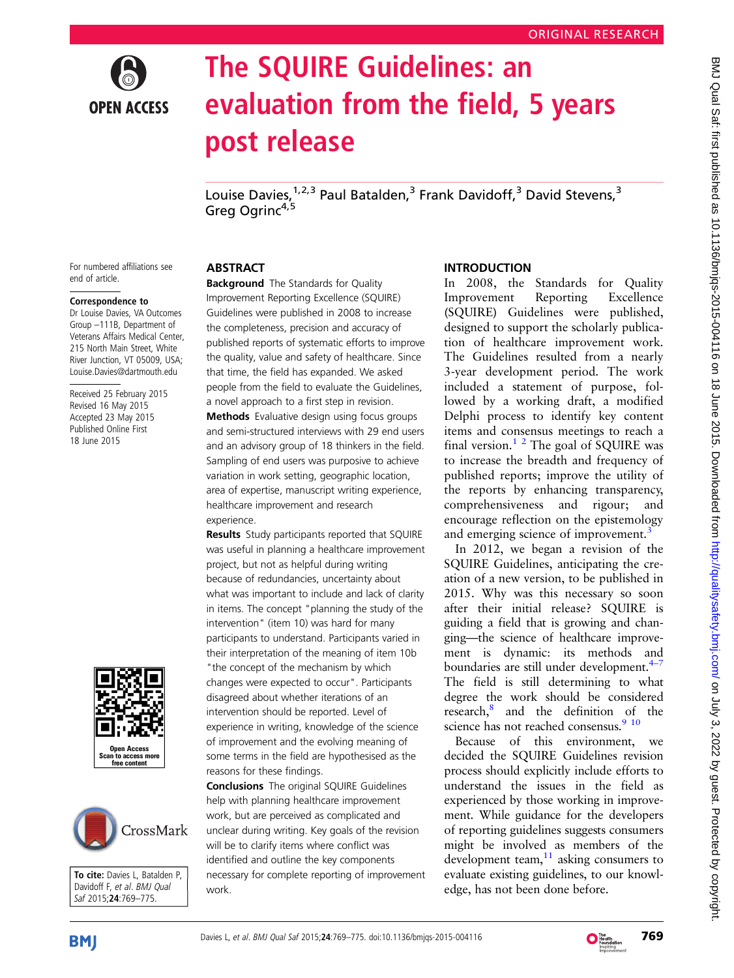

# The SQUIRE Guidelines: an evaluation from the field, 5 years post release

Louise Davies,  $1,2,3$  Paul Batalden, <sup>3</sup> Frank Davidoff, <sup>3</sup> David Stevens, <sup>3</sup> Greg Ogrinc<sup>4,5</sup>

For numbered affiliations see end of article.

#### Correspondence to

Dr Louise Davies, VA Outcomes Group –111B, Department of Veterans Affairs Medical Center, 215 North Main Street, White River Junction, VT 05009, USA; Louise.Davies@dartmouth.edu

Received 25 February 2015 Revised 16 May 2015 Accepted 23 May 2015 Published Online First 18 June 2015





To cite: Davies L, Batalden P, Davidoff F, et al. BMJ Qual Saf 2015;24:769–775.

# ABSTRACT

**Background** The Standards for Quality Improvement Reporting Excellence (SQUIRE) Guidelines were published in 2008 to increase the completeness, precision and accuracy of published reports of systematic efforts to improve the quality, value and safety of healthcare. Since that time, the field has expanded. We asked people from the field to evaluate the Guidelines, a novel approach to a first step in revision.

**Methods** Evaluative design using focus groups and semi-structured interviews with 29 end users and an advisory group of 18 thinkers in the field. Sampling of end users was purposive to achieve variation in work setting, geographic location, area of expertise, manuscript writing experience, healthcare improvement and research experience.

Results Study participants reported that SQUIRE was useful in planning a healthcare improvement project, but not as helpful during writing because of redundancies, uncertainty about what was important to include and lack of clarity in items. The concept "planning the study of the intervention" (item 10) was hard for many participants to understand. Participants varied in their interpretation of the meaning of item 10b "the concept of the mechanism by which changes were expected to occur". Participants disagreed about whether iterations of an intervention should be reported. Level of experience in writing, knowledge of the science of improvement and the evolving meaning of some terms in the field are hypothesised as the reasons for these findings.

Conclusions The original SQUIRE Guidelines help with planning healthcare improvement work, but are perceived as complicated and unclear during writing. Key goals of the revision will be to clarify items where conflict was identified and outline the key components necessary for complete reporting of improvement work.

# INTRODUCTION

In 2008, the Standards for Quality Improvement Reporting Excellence (SQUIRE) Guidelines were published, designed to support the scholarly publication of healthcare improvement work. The Guidelines resulted from a nearly 3-year development period. The work included a statement of purpose, followed by a working draft, a modified Delphi process to identify key content items and consensus meetings to reach a final version.<sup>[1 2](#page-6-0)</sup> The goal of SQUIRE was to increase the breadth and frequency of published reports; improve the utility of the reports by enhancing transparency, comprehensiveness and rigour; and encourage reflection on the epistemology and emerging science of improvement.<sup>[3](#page-6-0)</sup>

In 2012, we began a revision of the SQUIRE Guidelines, anticipating the creation of a new version, to be published in 2015. Why was this necessary so soon after their initial release? SQUIRE is guiding a field that is growing and changing—the science of healthcare improvement is dynamic: its methods and boundaries are still under development.<sup>4–[7](#page-6-0)</sup> The field is still determining to what degree the work should be considered research,<sup>8</sup> and the definition of the science has not reached consensus.<sup>9</sup> <sup>10</sup>

Because of this environment, we decided the SQUIRE Guidelines revision process should explicitly include efforts to understand the issues in the field as experienced by those working in improvement. While guidance for the developers of reporting guidelines suggests consumers might be involved as members of the development team, $11$  asking consumers to evaluate existing guidelines, to our knowledge, has not been done before.

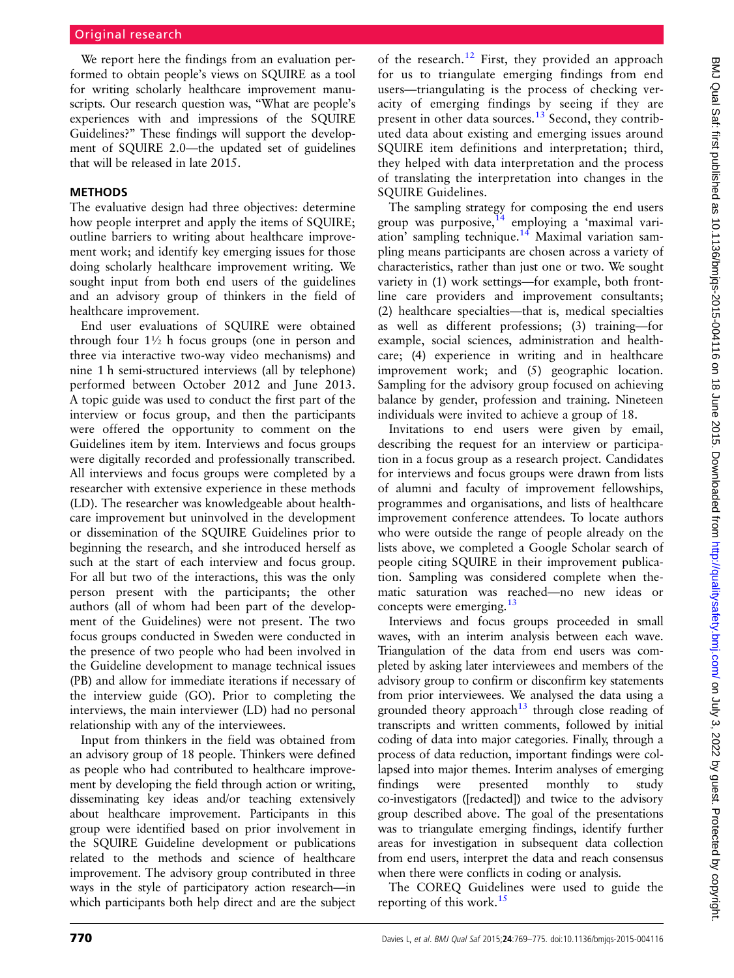We report here the findings from an evaluation performed to obtain people's views on SQUIRE as a tool for writing scholarly healthcare improvement manuscripts. Our research question was, "What are people's experiences with and impressions of the SQUIRE Guidelines?" These findings will support the development of SQUIRE 2.0—the updated set of guidelines that will be released in late 2015.

# **METHODS**

The evaluative design had three objectives: determine how people interpret and apply the items of SQUIRE; outline barriers to writing about healthcare improvement work; and identify key emerging issues for those doing scholarly healthcare improvement writing. We sought input from both end users of the guidelines and an advisory group of thinkers in the field of healthcare improvement.

End user evaluations of SQUIRE were obtained through four 1½ h focus groups (one in person and three via interactive two-way video mechanisms) and nine 1 h semi-structured interviews (all by telephone) performed between October 2012 and June 2013. A topic guide was used to conduct the first part of the interview or focus group, and then the participants were offered the opportunity to comment on the Guidelines item by item. Interviews and focus groups were digitally recorded and professionally transcribed. All interviews and focus groups were completed by a researcher with extensive experience in these methods (LD). The researcher was knowledgeable about healthcare improvement but uninvolved in the development or dissemination of the SQUIRE Guidelines prior to beginning the research, and she introduced herself as such at the start of each interview and focus group. For all but two of the interactions, this was the only person present with the participants; the other authors (all of whom had been part of the development of the Guidelines) were not present. The two focus groups conducted in Sweden were conducted in the presence of two people who had been involved in the Guideline development to manage technical issues (PB) and allow for immediate iterations if necessary of the interview guide (GO). Prior to completing the interviews, the main interviewer (LD) had no personal relationship with any of the interviewees.

Input from thinkers in the field was obtained from an advisory group of 18 people. Thinkers were defined as people who had contributed to healthcare improvement by developing the field through action or writing, disseminating key ideas and/or teaching extensively about healthcare improvement. Participants in this group were identified based on prior involvement in the SQUIRE Guideline development or publications related to the methods and science of healthcare improvement. The advisory group contributed in three ways in the style of participatory action research—in which participants both help direct and are the subject

of the research.<sup>[12](#page-6-0)</sup> First, they provided an approach for us to triangulate emerging findings from end users—triangulating is the process of checking veracity of emerging findings by seeing if they are present in other data sources.<sup>[13](#page-6-0)</sup> Second, they contributed data about existing and emerging issues around SQUIRE item definitions and interpretation; third, they helped with data interpretation and the process of translating the interpretation into changes in the SQUIRE Guidelines.

The sampling strategy for composing the end users group was purposive,  $14$  employing a 'maximal vari-ation' sampling technique.<sup>[14](#page-6-0)</sup> Maximal variation sampling means participants are chosen across a variety of characteristics, rather than just one or two. We sought variety in (1) work settings—for example, both frontline care providers and improvement consultants; (2) healthcare specialties—that is, medical specialties as well as different professions; (3) training—for example, social sciences, administration and healthcare; (4) experience in writing and in healthcare improvement work; and (5) geographic location. Sampling for the advisory group focused on achieving balance by gender, profession and training. Nineteen individuals were invited to achieve a group of 18.

Invitations to end users were given by email, describing the request for an interview or participation in a focus group as a research project. Candidates for interviews and focus groups were drawn from lists of alumni and faculty of improvement fellowships, programmes and organisations, and lists of healthcare improvement conference attendees. To locate authors who were outside the range of people already on the lists above, we completed a Google Scholar search of people citing SQUIRE in their improvement publication. Sampling was considered complete when thematic saturation was reached—no new ideas or concepts were emerging. $13$ 

Interviews and focus groups proceeded in small waves, with an interim analysis between each wave. Triangulation of the data from end users was completed by asking later interviewees and members of the advisory group to confirm or disconfirm key statements from prior interviewees. We analysed the data using a grounded theory approach<sup>13</sup> through close reading of transcripts and written comments, followed by initial coding of data into major categories. Finally, through a process of data reduction, important findings were collapsed into major themes. Interim analyses of emerging findings were presented monthly to study co-investigators ([redacted]) and twice to the advisory group described above. The goal of the presentations was to triangulate emerging findings, identify further areas for investigation in subsequent data collection from end users, interpret the data and reach consensus when there were conflicts in coding or analysis.

The COREQ Guidelines were used to guide the reporting of this work.<sup>[15](#page-6-0)</sup>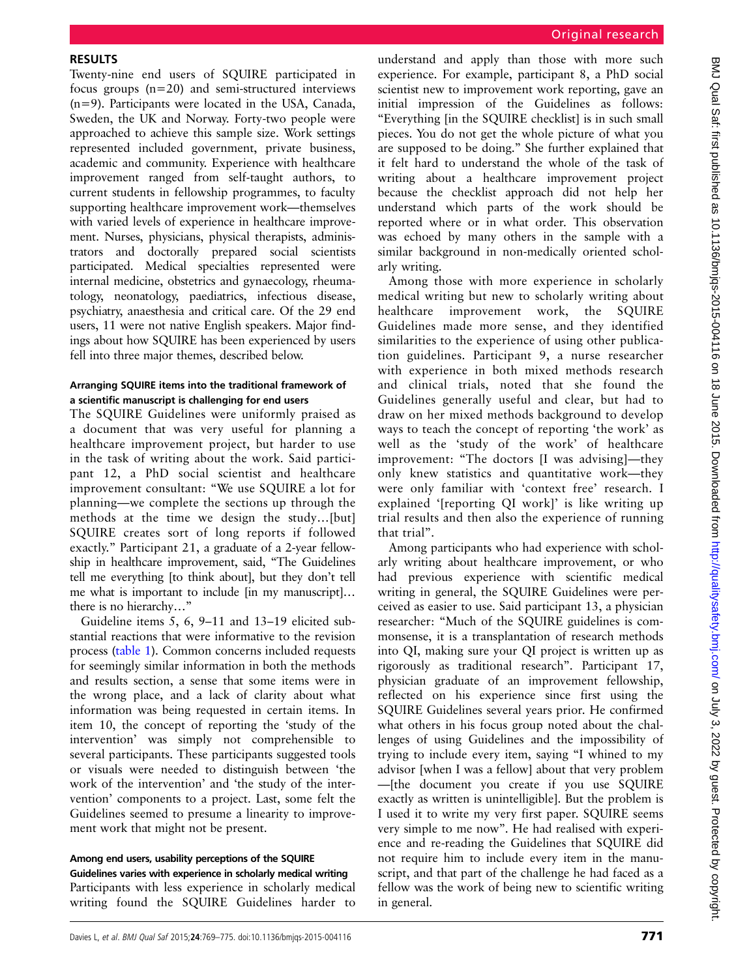## RESULTS

Twenty-nine end users of SQUIRE participated in focus groups  $(n=20)$  and semi-structured interviews (n=9). Participants were located in the USA, Canada, Sweden, the UK and Norway. Forty-two people were approached to achieve this sample size. Work settings represented included government, private business, academic and community. Experience with healthcare improvement ranged from self-taught authors, to current students in fellowship programmes, to faculty supporting healthcare improvement work—themselves with varied levels of experience in healthcare improvement. Nurses, physicians, physical therapists, administrators and doctorally prepared social scientists participated. Medical specialties represented were internal medicine, obstetrics and gynaecology, rheumatology, neonatology, paediatrics, infectious disease, psychiatry, anaesthesia and critical care. Of the 29 end users, 11 were not native English speakers. Major findings about how SQUIRE has been experienced by users fell into three major themes, described below.

# Arranging SQUIRE items into the traditional framework of a scientific manuscript is challenging for end users

The SQUIRE Guidelines were uniformly praised as a document that was very useful for planning a healthcare improvement project, but harder to use in the task of writing about the work. Said participant 12, a PhD social scientist and healthcare improvement consultant: "We use SQUIRE a lot for planning—we complete the sections up through the methods at the time we design the study…[but] SQUIRE creates sort of long reports if followed exactly." Participant 21, a graduate of a 2-year fellowship in healthcare improvement, said, "The Guidelines tell me everything [to think about], but they don't tell me what is important to include [in my manuscript]… there is no hierarchy…"

Guideline items 5, 6, 9–11 and 13–19 elicited substantial reactions that were informative to the revision process ([table 1\)](#page-3-0). Common concerns included requests for seemingly similar information in both the methods and results section, a sense that some items were in the wrong place, and a lack of clarity about what information was being requested in certain items. In item 10, the concept of reporting the 'study of the intervention' was simply not comprehensible to several participants. These participants suggested tools or visuals were needed to distinguish between 'the work of the intervention' and 'the study of the intervention' components to a project. Last, some felt the Guidelines seemed to presume a linearity to improvement work that might not be present.

# Among end users, usability perceptions of the SQUIRE Guidelines varies with experience in scholarly medical writing Participants with less experience in scholarly medical writing found the SQUIRE Guidelines harder to

understand and apply than those with more such experience. For example, participant 8, a PhD social scientist new to improvement work reporting, gave an initial impression of the Guidelines as follows: "Everything [in the SQUIRE checklist] is in such small pieces. You do not get the whole picture of what you are supposed to be doing." She further explained that it felt hard to understand the whole of the task of writing about a healthcare improvement project because the checklist approach did not help her understand which parts of the work should be reported where or in what order. This observation was echoed by many others in the sample with a similar background in non-medically oriented scholarly writing.

Among those with more experience in scholarly medical writing but new to scholarly writing about healthcare improvement work, the SQUIRE Guidelines made more sense, and they identified similarities to the experience of using other publication guidelines. Participant 9, a nurse researcher with experience in both mixed methods research and clinical trials, noted that she found the Guidelines generally useful and clear, but had to draw on her mixed methods background to develop ways to teach the concept of reporting 'the work' as well as the 'study of the work' of healthcare improvement: "The doctors [I was advising]—they only knew statistics and quantitative work—they were only familiar with 'context free' research. I explained '[reporting QI work]' is like writing up trial results and then also the experience of running that trial".

Among participants who had experience with scholarly writing about healthcare improvement, or who had previous experience with scientific medical writing in general, the SQUIRE Guidelines were perceived as easier to use. Said participant 13, a physician researcher: "Much of the SQUIRE guidelines is commonsense, it is a transplantation of research methods into QI, making sure your QI project is written up as rigorously as traditional research". Participant 17, physician graduate of an improvement fellowship, reflected on his experience since first using the SQUIRE Guidelines several years prior. He confirmed what others in his focus group noted about the challenges of using Guidelines and the impossibility of trying to include every item, saying "I whined to my advisor [when I was a fellow] about that very problem —[the document you create if you use SQUIRE exactly as written is unintelligible]. But the problem is I used it to write my very first paper. SQUIRE seems very simple to me now". He had realised with experience and re-reading the Guidelines that SQUIRE did not require him to include every item in the manuscript, and that part of the challenge he had faced as a fellow was the work of being new to scientific writing in general.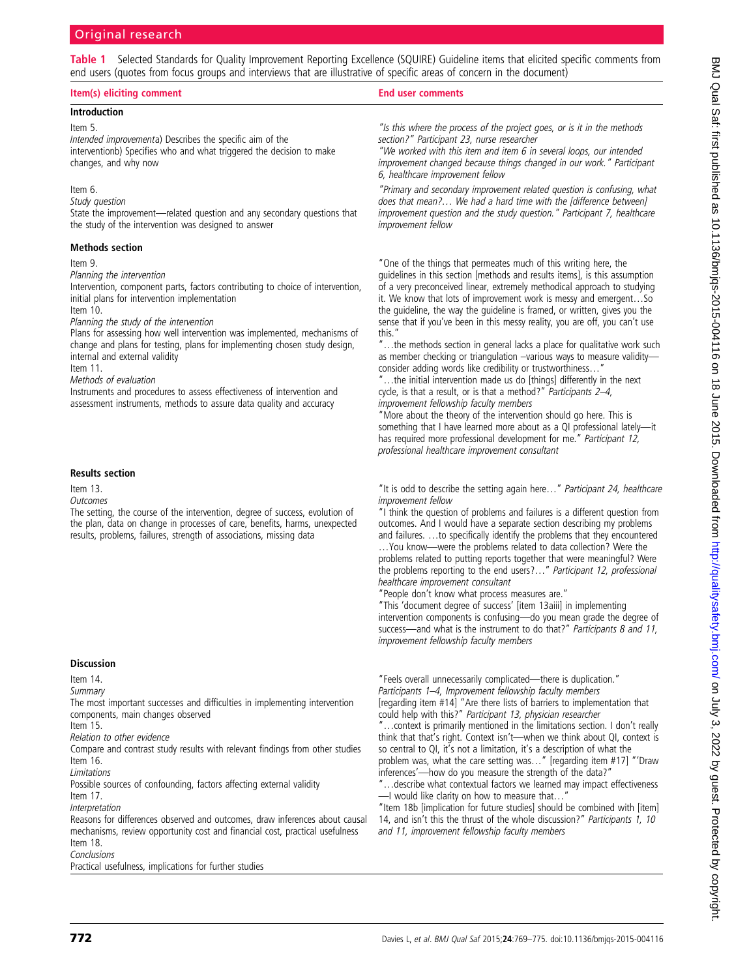# <span id="page-3-0"></span>Original research

Table 1 Selected Standards for Quality Improvement Reporting Excellence (SQUIRE) Guideline items that elicited specific comments from end users (quotes from focus groups and interviews that are illustrative of specific areas of concern in the document)

#### Item(s) eliciting comment End user comments

#### Introduction

#### Item 5.

Intended improvementa) Describes the specific aim of the interventionb) Specifies who and what triggered the decision to make changes, and why now

#### Item 6.

Study question

State the improvement—related question and any secondary questions that the study of the intervention was designed to answer

#### Methods section

Item 9.

Planning the intervention

Intervention, component parts, factors contributing to choice of intervention, initial plans for intervention implementation

Item 10. Planning the study of the intervention

Plans for assessing how well intervention was implemented, mechanisms of change and plans for testing, plans for implementing chosen study design, internal and external validity

Item 11.

Methods of evaluation

Instruments and procedures to assess effectiveness of intervention and assessment instruments, methods to assure data quality and accuracy

#### Results section

Item 13.

#### **Outcomes**

The setting, the course of the intervention, degree of success, evolution of the plan, data on change in processes of care, benefits, harms, unexpected results, problems, failures, strength of associations, missing data

#### Discussion

Item 14.

Summary

The most important successes and difficulties in implementing intervention components, main changes observed

Item 15.

Relation to other evidence

Compare and contrast study results with relevant findings from other studies Item 16.

Limitations

Possible sources of confounding, factors affecting external validity Item 17.

**Interpretation** 

Reasons for differences observed and outcomes, draw inferences about causal mechanisms, review opportunity cost and financial cost, practical usefulness Item 18. **Conclusions** 

Practical usefulness, implications for further studies

"Is this where the process of the project goes, or is it in the methods section?" Participant 23, nurse researcher

"We worked with this item and item 6 in several loops, our intended improvement changed because things changed in our work." Participant 6, healthcare improvement fellow

"Primary and secondary improvement related question is confusing, what does that mean?… We had a hard time with the [difference between] improvement question and the study question." Participant 7, healthcare improvement fellow

"One of the things that permeates much of this writing here, the guidelines in this section [methods and results items], is this assumption of a very preconceived linear, extremely methodical approach to studying it. We know that lots of improvement work is messy and emergent…So the guideline, the way the guideline is framed, or written, gives you the sense that if you've been in this messy reality, you are off, you can't use this."

"…the methods section in general lacks a place for qualitative work such as member checking or triangulation –various ways to measure validity consider adding words like credibility or trustworthiness…"

"…the initial intervention made us do [things] differently in the next cycle, is that a result, or is that a method?"  $\overline{Participants}$  2-4, improvement fellowship faculty members

"More about the theory of the intervention should go here. This is something that I have learned more about as a QI professional latelyhas required more professional development for me." Participant 12, professional healthcare improvement consultant

"It is odd to describe the setting again here…" Participant 24, healthcare improvement fellow

"I think the question of problems and failures is a different question from outcomes. And I would have a separate section describing my problems and failures. …to specifically identify the problems that they encountered …You know—were the problems related to data collection? Were the problems related to putting reports together that were meaningful? Were the problems reporting to the end users?…" Participant 12, professional healthcare improvement consultant

"People don't know what process measures are."

"This 'document degree of success' [item 13aiii] in implementing intervention components is confusing—do you mean grade the degree of success—and what is the instrument to do that?" Participants 8 and 11, improvement fellowship faculty members

"Feels overall unnecessarily complicated—there is duplication." Participants 1–4, Improvement fellowship faculty members [regarding item #14] "Are there lists of barriers to implementation that could help with this?" Participant 13, physician researcher "…context is primarily mentioned in the limitations section. I don't really think that that's right. Context isn't—when we think about QI, context is so central to QI, it's not a limitation, it's a description of what the problem was, what the care setting was…" [regarding item #17] "'Draw inferences'—how do you measure the strength of the data?" "…describe what contextual factors we learned may impact effectiveness

—I would like clarity on how to measure that…" "Item 18b [implication for future studies] should be combined with [item] 14, and isn't this the thrust of the whole discussion?" Participants 1, 10 and 11, improvement fellowship faculty members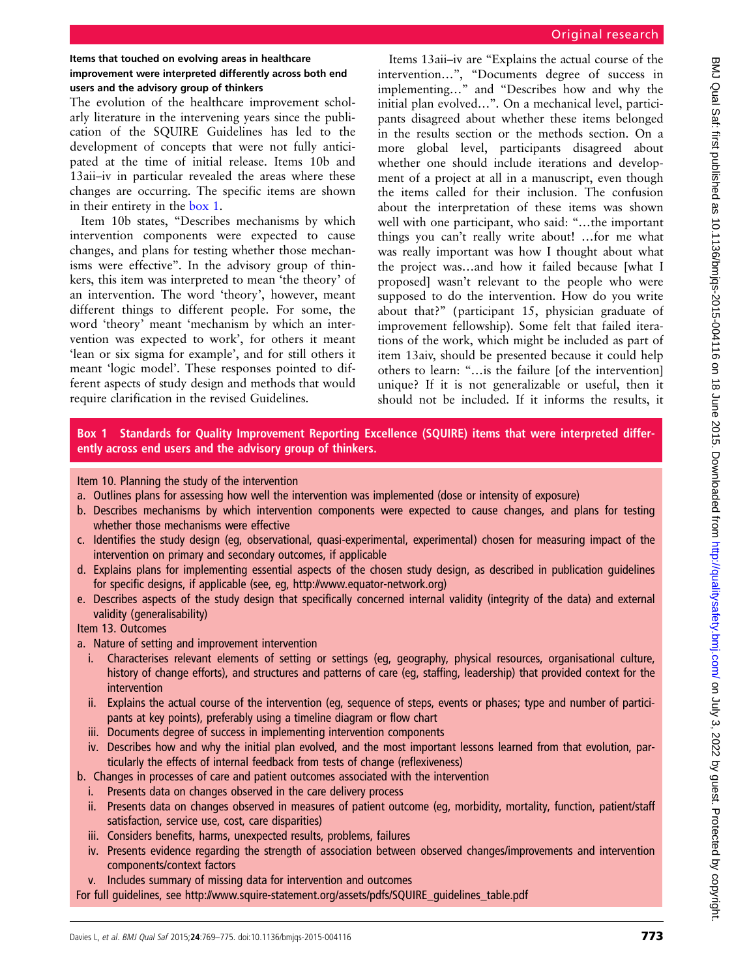# Items that touched on evolving areas in healthcare improvement were interpreted differently across both end users and the advisory group of thinkers

The evolution of the healthcare improvement scholarly literature in the intervening years since the publication of the SQUIRE Guidelines has led to the development of concepts that were not fully anticipated at the time of initial release. Items 10b and 13aii–iv in particular revealed the areas where these changes are occurring. The specific items are shown in their entirety in the box 1.

Item 10b states, "Describes mechanisms by which intervention components were expected to cause changes, and plans for testing whether those mechanisms were effective". In the advisory group of thinkers, this item was interpreted to mean 'the theory' of an intervention. The word 'theory', however, meant different things to different people. For some, the word 'theory' meant 'mechanism by which an intervention was expected to work', for others it meant 'lean or six sigma for example', and for still others it meant 'logic model'. These responses pointed to different aspects of study design and methods that would require clarification in the revised Guidelines.

Items 13aii–iv are "Explains the actual course of the intervention…", "Documents degree of success in implementing…" and "Describes how and why the initial plan evolved…". On a mechanical level, participants disagreed about whether these items belonged in the results section or the methods section. On a more global level, participants disagreed about whether one should include iterations and development of a project at all in a manuscript, even though the items called for their inclusion. The confusion about the interpretation of these items was shown well with one participant, who said: "…the important things you can't really write about! …for me what was really important was how I thought about what the project was…and how it failed because [what I proposed] wasn't relevant to the people who were supposed to do the intervention. How do you write about that?" (participant 15, physician graduate of improvement fellowship). Some felt that failed iterations of the work, which might be included as part of item 13aiv, should be presented because it could help others to learn: "…is the failure [of the intervention] unique? If it is not generalizable or useful, then it should not be included. If it informs the results, it

Box 1 Standards for Quality Improvement Reporting Excellence (SQUIRE) items that were interpreted differently across end users and the advisory group of thinkers.

Item 10. Planning the study of the intervention

- a. Outlines plans for assessing how well the intervention was implemented (dose or intensity of exposure)
- b. Describes mechanisms by which intervention components were expected to cause changes, and plans for testing whether those mechanisms were effective
- c. Identifies the study design (eg, observational, quasi-experimental, experimental) chosen for measuring impact of the intervention on primary and secondary outcomes, if applicable
- d. Explains plans for implementing essential aspects of the chosen study design, as described in publication guidelines for specific designs, if applicable (see, eg, http://www.equator-network.org)
- e. Describes aspects of the study design that specifically concerned internal validity (integrity of the data) and external validity (generalisability)

# Item 13. Outcomes

- a. Nature of setting and improvement intervention
	- i. Characterises relevant elements of setting or settings (eg, geography, physical resources, organisational culture, history of change efforts), and structures and patterns of care (eg, staffing, leadership) that provided context for the intervention
	- ii. Explains the actual course of the intervention (eg, sequence of steps, events or phases; type and number of participants at key points), preferably using a timeline diagram or flow chart
	- iii. Documents degree of success in implementing intervention components
	- iv. Describes how and why the initial plan evolved, and the most important lessons learned from that evolution, particularly the effects of internal feedback from tests of change (reflexiveness)
- b. Changes in processes of care and patient outcomes associated with the intervention
	- i. Presents data on changes observed in the care delivery process
	- ii. Presents data on changes observed in measures of patient outcome (eg, morbidity, mortality, function, patient/staff satisfaction, service use, cost, care disparities)
	- iii. Considers benefits, harms, unexpected results, problems, failures
	- iv. Presents evidence regarding the strength of association between observed changes/improvements and intervention components/context factors
	- v. Includes summary of missing data for intervention and outcomes
- For full guidelines, see http://www.squire-statement.org/assets/pdfs/SQUIRE\_guidelines\_table.pdf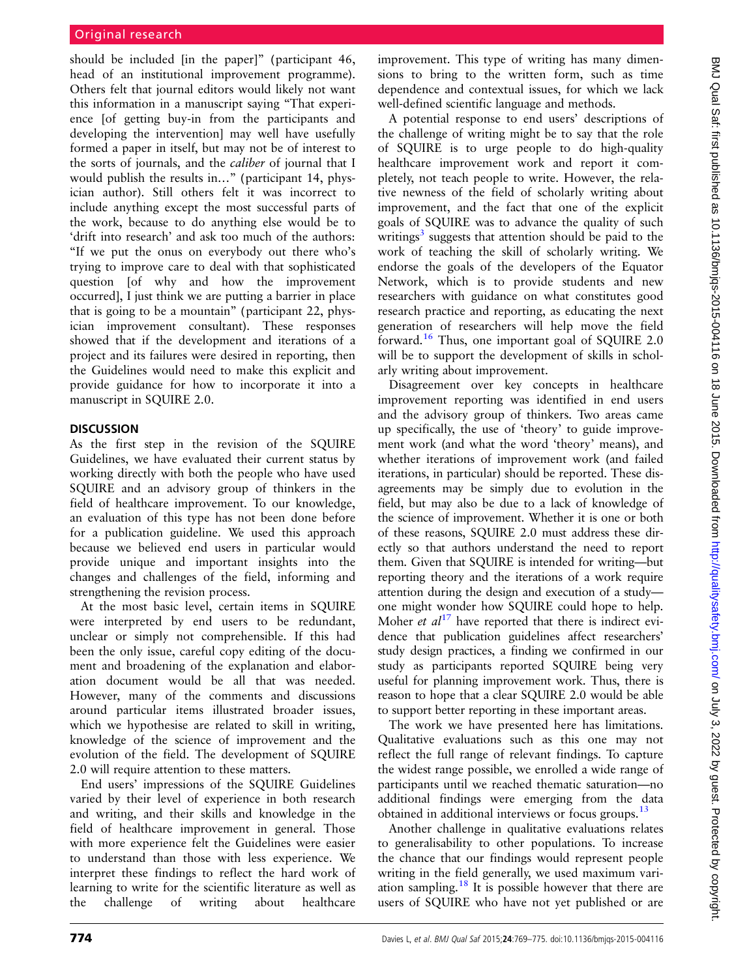should be included [in the paper]" (participant 46, head of an institutional improvement programme). Others felt that journal editors would likely not want this information in a manuscript saying "That experience [of getting buy-in from the participants and developing the intervention] may well have usefully formed a paper in itself, but may not be of interest to the sorts of journals, and the caliber of journal that I would publish the results in..." (participant 14, physician author). Still others felt it was incorrect to include anything except the most successful parts of the work, because to do anything else would be to 'drift into research' and ask too much of the authors: "If we put the onus on everybody out there who's trying to improve care to deal with that sophisticated question [of why and how the improvement occurred], I just think we are putting a barrier in place that is going to be a mountain" (participant 22, physician improvement consultant). These responses showed that if the development and iterations of a project and its failures were desired in reporting, then the Guidelines would need to make this explicit and provide guidance for how to incorporate it into a manuscript in SQUIRE 2.0.

# **DISCUSSION**

As the first step in the revision of the SQUIRE Guidelines, we have evaluated their current status by working directly with both the people who have used SQUIRE and an advisory group of thinkers in the field of healthcare improvement. To our knowledge, an evaluation of this type has not been done before for a publication guideline. We used this approach because we believed end users in particular would provide unique and important insights into the changes and challenges of the field, informing and strengthening the revision process.

At the most basic level, certain items in SQUIRE were interpreted by end users to be redundant, unclear or simply not comprehensible. If this had been the only issue, careful copy editing of the document and broadening of the explanation and elaboration document would be all that was needed. However, many of the comments and discussions around particular items illustrated broader issues, which we hypothesise are related to skill in writing, knowledge of the science of improvement and the evolution of the field. The development of SQUIRE 2.0 will require attention to these matters.

End users' impressions of the SQUIRE Guidelines varied by their level of experience in both research and writing, and their skills and knowledge in the field of healthcare improvement in general. Those with more experience felt the Guidelines were easier to understand than those with less experience. We interpret these findings to reflect the hard work of learning to write for the scientific literature as well as the challenge of writing about healthcare

improvement. This type of writing has many dimensions to bring to the written form, such as time dependence and contextual issues, for which we lack well-defined scientific language and methods.

A potential response to end users' descriptions of the challenge of writing might be to say that the role of SQUIRE is to urge people to do high-quality healthcare improvement work and report it completely, not teach people to write. However, the relative newness of the field of scholarly writing about improvement, and the fact that one of the explicit goals of SQUIRE was to advance the quality of such writings<sup>[3](#page-6-0)</sup> suggests that attention should be paid to the work of teaching the skill of scholarly writing. We endorse the goals of the developers of the Equator Network, which is to provide students and new researchers with guidance on what constitutes good research practice and reporting, as educating the next generation of researchers will help move the field forward.[16](#page-6-0) Thus, one important goal of SQUIRE 2.0 will be to support the development of skills in scholarly writing about improvement.

Disagreement over key concepts in healthcare improvement reporting was identified in end users and the advisory group of thinkers. Two areas came up specifically, the use of 'theory' to guide improvement work (and what the word 'theory' means), and whether iterations of improvement work (and failed iterations, in particular) should be reported. These disagreements may be simply due to evolution in the field, but may also be due to a lack of knowledge of the science of improvement. Whether it is one or both of these reasons, SQUIRE 2.0 must address these directly so that authors understand the need to report them. Given that SQUIRE is intended for writing—but reporting theory and the iterations of a work require attention during the design and execution of a study one might wonder how SQUIRE could hope to help. Moher *et al*<sup>[17](#page-6-0)</sup> have reported that there is indirect evidence that publication guidelines affect researchers' study design practices, a finding we confirmed in our study as participants reported SQUIRE being very useful for planning improvement work. Thus, there is reason to hope that a clear SQUIRE 2.0 would be able to support better reporting in these important areas.

The work we have presented here has limitations. Qualitative evaluations such as this one may not reflect the full range of relevant findings. To capture the widest range possible, we enrolled a wide range of participants until we reached thematic saturation—no additional findings were emerging from the data obtained in additional interviews or focus groups.<sup>[13](#page-6-0)</sup>

Another challenge in qualitative evaluations relates to generalisability to other populations. To increase the chance that our findings would represent people writing in the field generally, we used maximum variation sampling.[18](#page-6-0) It is possible however that there are users of SQUIRE who have not yet published or are